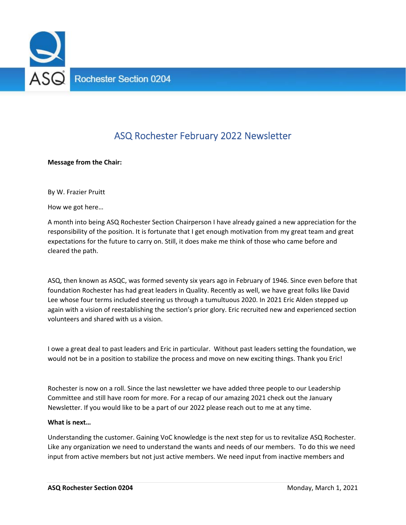

# ASQ Rochester February 2022 Newsletter

**Message from the Chair:** 

By W. Frazier Pruitt

How we got here…

A month into being ASQ Rochester Section Chairperson I have already gained a new appreciation for the responsibility of the position. It is fortunate that I get enough motivation from my great team and great expectations for the future to carry on. Still, it does make me think of those who came before and cleared the path.

ASQ, then known as ASQC, was formed seventy six years ago in February of 1946. Since even before that foundation Rochester has had great leaders in Quality. Recently as well, we have great folks like David Lee whose four terms included steering us through a tumultuous 2020. In 2021 Eric Alden stepped up again with a vision of reestablishing the section's prior glory. Eric recruited new and experienced section volunteers and shared with us a vision.

I owe a great deal to past leaders and Eric in particular. Without past leaders setting the foundation, we would not be in a position to stabilize the process and move on new exciting things. Thank you Eric!

Rochester is now on a roll. Since the last newsletter we have added three people to our Leadership Committee and still have room for more. For a recap of our amazing 2021 check out the January Newsletter. If you would like to be a part of our 2022 please reach out to me at any time.

#### **What is next…**

Understanding the customer. Gaining VoC knowledge is the next step for us to revitalize ASQ Rochester. Like any organization we need to understand the wants and needs of our members. To do this we need input from active members but not just active members. We need input from inactive members and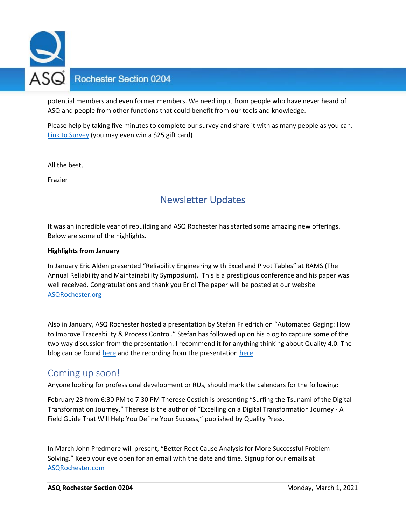

## **Rochester Section 0204**

potential members and even former members. We need input from people who have never heard of ASQ and people from other functions that could benefit from our tools and knowledge.

Please help by taking five minutes to complete our survey and share it with as many people as you can. Link to Survey (you may even win a \$25 gift card)

All the best,

Frazier

# Newsletter Updates

It was an incredible year of rebuilding and ASQ Rochester has started some amazing new offerings. Below are some of the highlights.

#### **Highlights from January**

In January Eric Alden presented "Reliability Engineering with Excel and Pivot Tables" at RAMS (The Annual Reliability and Maintainability Symposium). This is a prestigious conference and his paper was well received. Congratulations and thank you Eric! The paper will be posted at our website ASQRochester.org

Also in January, ASQ Rochester hosted a presentation by Stefan Friedrich on "Automated Gaging: How to Improve Traceability & Process Control." Stefan has followed up on his blog to capture some of the two way discussion from the presentation. I recommend it for anything thinking about Quality 4.0. The blog can be found here and the recording from the presentation here.

### Coming up soon!

Anyone looking for professional development or RUs, should mark the calendars for the following:

February 23 from 6:30 PM to 7:30 PM Therese Costich is presenting "Surfing the Tsunami of the Digital Transformation Journey." Therese is the author of "Excelling on a Digital Transformation Journey ‐ A Field Guide That Will Help You Define Your Success," published by Quality Press.

In March John Predmore will present, "Better Root Cause Analysis for More Successful Problem‐ Solving." Keep your eye open for an email with the date and time. Signup for our emails at ASQRochester.com